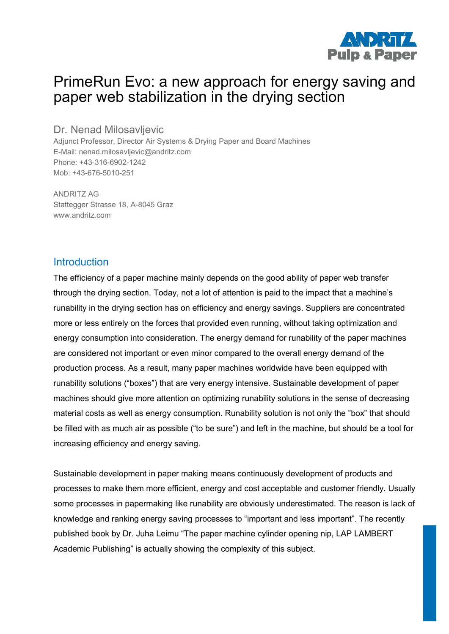

# PrimeRun Evo: a new approach for energy saving and paper web stabilization in the drying section

Dr. Nenad Milosavljevic

Adjunct Professor, Director Air Systems & Drying Paper and Board Machines E-Mail: nenad.milosavljevic@andritz.com Phone: +43-316-6902-1242 Mob: +43-676-5010-251

ANDRITZ AG Stattegger Strasse 18, A-8045 Graz www.andritz.com

#### **Introduction**

The efficiency of a paper machine mainly depends on the good ability of paper web transfer through the drying section. Today, not a lot of attention is paid to the impact that a machine's runability in the drying section has on efficiency and energy savings. Suppliers are concentrated more or less entirely on the forces that provided even running, without taking optimization and energy consumption into consideration. The energy demand for runability of the paper machines are considered not important or even minor compared to the overall energy demand of the production process. As a result, many paper machines worldwide have been equipped with runability solutions ("boxes") that are very energy intensive. Sustainable development of paper machines should give more attention on optimizing runability solutions in the sense of decreasing material costs as well as energy consumption. Runability solution is not only the "box" that should be filled with as much air as possible ("to be sure") and left in the machine, but should be a tool for increasing efficiency and energy saving.

Sustainable development in paper making means continuously development of products and processes to make them more efficient, energy and cost acceptable and customer friendly. Usually some processes in papermaking like runability are obviously underestimated. The reason is lack of knowledge and ranking energy saving processes to "important and less important". The recently published book by Dr. Juha Leimu "The paper machine cylinder opening nip, LAP LAMBERT Academic Publishing" is actually showing the complexity of this subject.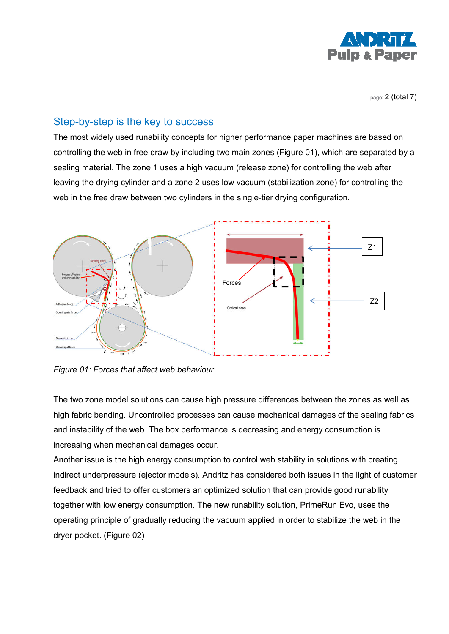

page: 2 (total 7)

## Step-by-step is the key to success

The most widely used runability concepts for higher performance paper machines are based on controlling the web in free draw by including two main zones (Figure 01), which are separated by a sealing material. The zone 1 uses a high vacuum (release zone) for controlling the web after leaving the drying cylinder and a zone 2 uses low vacuum (stabilization zone) for controlling the web in the free draw between two cylinders in the single-tier drying configuration.



*Figure 01: Forces that affect web behaviour*

The two zone model solutions can cause high pressure differences between the zones as well as high fabric bending. Uncontrolled processes can cause mechanical damages of the sealing fabrics and instability of the web. The box performance is decreasing and energy consumption is increasing when mechanical damages occur.

Another issue is the high energy consumption to control web stability in solutions with creating indirect underpressure (ejector models). Andritz has considered both issues in the light of customer feedback and tried to offer customers an optimized solution that can provide good runability together with low energy consumption. The new runability solution, PrimeRun Evo, uses the operating principle of gradually reducing the vacuum applied in order to stabilize the web in the dryer pocket. (Figure 02)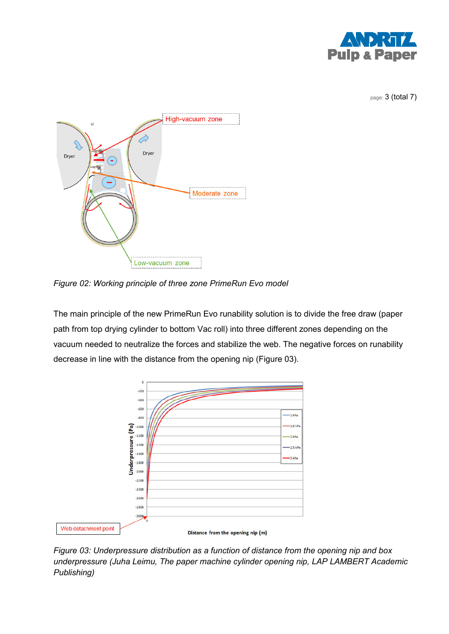

page: 3 (total 7)



*Figure 02: Working principle of three zone PrimeRun Evo model* 

The main principle of the new PrimeRun Evo runability solution is to divide the free draw (paper path from top drying cylinder to bottom Vac roll) into three different zones depending on the vacuum needed to neutralize the forces and stabilize the web. The negative forces on runability decrease in line with the distance from the opening nip (Figure 03).



*Figure 03: Underpressure distribution as a function of distance from the opening nip and box underpressure (Juha Leimu, The paper machine cylinder opening nip, LAP LAMBERT Academic Publishing)*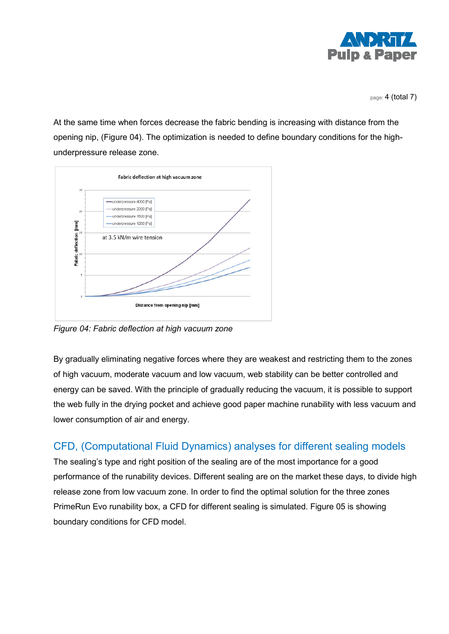

page: 4 (total 7)

At the same time when forces decrease the fabric bending is increasing with distance from the opening nip, (Figure 04). The optimization is needed to define boundary conditions for the highunderpressure release zone.



*Figure 04: Fabric deflection at high vacuum zone* 

By gradually eliminating negative forces where they are weakest and restricting them to the zones of high vacuum, moderate vacuum and low vacuum, web stability can be better controlled and energy can be saved. With the principle of gradually reducing the vacuum, it is possible to support the web fully in the drying pocket and achieve good paper machine runability with less vacuum and lower consumption of air and energy.

# CFD, (Computational Fluid Dynamics) analyses for different sealing models

The sealing's type and right position of the sealing are of the most importance for a good performance of the runability devices. Different sealing are on the market these days, to divide high release zone from low vacuum zone. In order to find the optimal solution for the three zones PrimeRun Evo runability box, a CFD for different sealing is simulated. Figure 05 is showing boundary conditions for CFD model.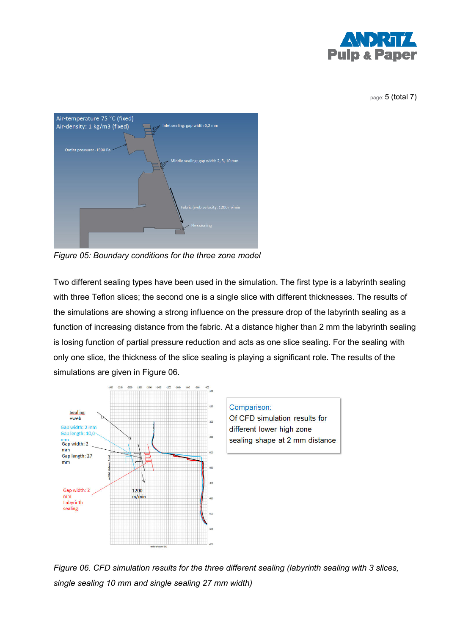

page: 5 (total 7)



*Figure 05: Boundary conditions for the three zone model* 

Two different sealing types have been used in the simulation. The first type is a labyrinth sealing with three Teflon slices; the second one is a single slice with different thicknesses. The results of the simulations are showing a strong influence on the pressure drop of the labyrinth sealing as a function of increasing distance from the fabric. At a distance higher than 2 mm the labyrinth sealing is losing function of partial pressure reduction and acts as one slice sealing. For the sealing with only one slice, the thickness of the slice sealing is playing a significant role. The results of the simulations are given in Figure 06.



*Figure 06. CFD simulation results for the three different sealing (labyrinth sealing with 3 slices, single sealing 10 mm and single sealing 27 mm width)*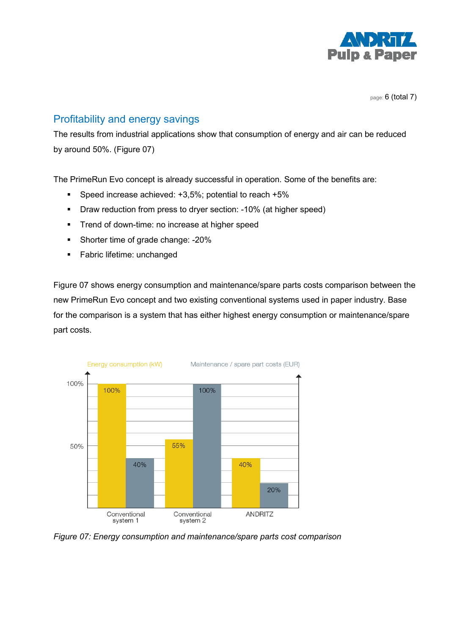

page: 6 (total 7)

### Profitability and energy savings

The results from industrial applications show that consumption of energy and air can be reduced by around 50%. (Figure 07)

The PrimeRun Evo concept is already successful in operation. Some of the benefits are:

- Speed increase achieved: +3,5%; potential to reach +5%
- **•** Draw reduction from press to dryer section: -10% (at higher speed)
- **Trend of down-time: no increase at higher speed**
- Shorter time of grade change: -20%
- **Fabric lifetime: unchanged**

Figure 07 shows energy consumption and maintenance/spare parts costs comparison between the new PrimeRun Evo concept and two existing conventional systems used in paper industry. Base for the comparison is a system that has either highest energy consumption or maintenance/spare part costs.



*Figure 07: Energy consumption and maintenance/spare parts cost comparison*